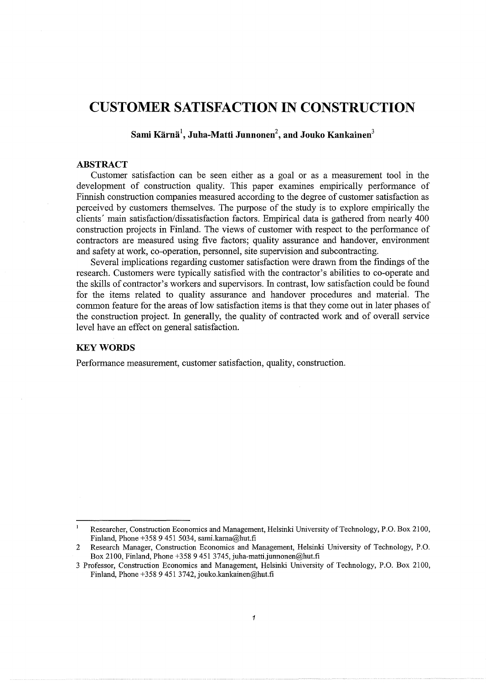# **CUSTOMER SATISFACTION IN CONSTRUCTION**

**Sami Karna\ Juha-Matti Junnonen<sup>2</sup> , and Jouko Kankainen<sup>3</sup>**

# **ABSTRACT**

Customer satisfaction can be seen either as a goal or as a measurement tool in the development of construction quality. This paper examines empirically performance of Finnish construction companies measured according to the degree of customer satisfaction as perceived by customers themselves. The purpose of the study is to explore empirically the clients' main satisfaction/dissatisfaction factors. Empirical data is gathered from nearly 400 construction projects in Finland. The views of customer with respect to the performance of contractors are measured using five factors; quality assurance and handover, environment and safety at work, co-operation, personnel, site supervision and subcontracting.

Several implications regarding customer satisfaction were drawn from the findings of the research. Customers were typically satisfied with the contractor's abilities to co-operate and the skills of contractor's workers and supervisors. In contrast, low satisfaction could be found for the items related to quality assurance and handover procedures and material. The common feature for the areas of low satisfaction items is that they come out in later phases of the construction project. In generally, the quality of contracted work and of overall service level have an effect on general satisfaction.

# **KEYWORDS**

Performance measurement, customer satisfaction, quality, construction.

 $\mathbf{1}$ Researcher, Construction Economics and Management, Helsinki University of Technology, P.O. Box 2100, Finland, Phone +358 9 451 5034, sami.karna@hut.fi

<sup>2</sup> Research Manager, Construction Economics and Management, Helsinki University of Technology, P.O. Box 2100, Finland, Phone +358 9 451 3745, juha-matti.junnonen@hut.fi

<sup>3</sup> Professor, Construction Economics and Management, Helsinki University of Technology, P.O. Box 2100, Finland, Phone +358 9 451 3742, jouko.kankainen@hut.fi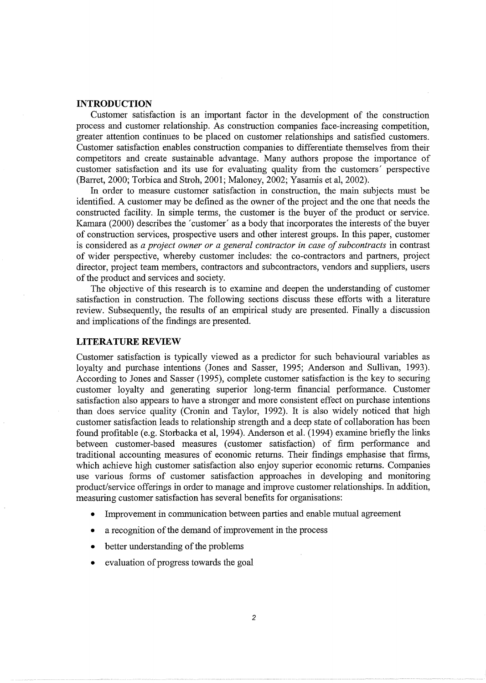#### **INTRODUCTION**

Customer satisfaction is an important factor in the development of the construction process and customer relationship. As construction companies face-increasing competition, greater attention continues to be placed on customer relationships and satisfied customers. Customer satisfaction enables construction companies to differentiate themselves from their competitors and create sustainable advantage. Many authors propose the importance of customer satisfaction and its use for evaluating quality from the customers' perspective (Barret, 2000; Torbica and Stroh, 2001; Maloney, 2002; Yasamis et al, 2002).

In order to measure customer satisfaction in construction, the main subjects must be identified. A customer may be defined as the owner of the project and the one that needs the constructed facility. In simple terms, the customer is the buyer of the product or service. Kamara (2000) describes the 'customer' as a body that incorporates the interests of the buyer of construction services, prospective users and other interest groups. In this paper, customer is considered as *a project owner or a general contractor in case of subcontracts* in contrast of wider perspective, whereby customer includes: the co-contractors and partners, project director, project team members, contractors and subcontractors, vendors and suppliers, users of the product and services and society.

The objective of this research is to examine and deepen the understanding of customer satisfaction in construction. The following sections discuss these efforts with a literature review. Subsequently, the results of an empirical study are presented. Finally a discussion and implications of the findings are presented.

#### **LITERATURE REVIEW**

Customer satisfaction is typically viewed as a predictor for such behavioural variables as loyalty and purchase intentions (Jones and Sasser, 1995; Anderson and Sullivan, 1993). According to Jones and Sasser (1995), complete customer satisfaction is the key to securing customer loyalty and generating superior long-term financial performance. Customer satisfaction also appears to have a stronger and more consistent effect on purchase intentions than does service quality (Cronin and Taylor, 1992). It is also widely noticed that high customer satisfaction leads to relationship strength and a deep state of collaboration has been found profitable (e.g. Storbacka et al, 1994). Anderson et al. (1994) examine briefly the links between customer-based measures (customer satisfaction) of firm performance and traditional accounting measures of economic returns. Their findings emphasise that firms, which achieve high customer satisfaction also enjoy superior economic returns. Companies use various forms of customer satisfaction approaches in developing and monitoring product/service offerings in order to manage and improve customer relationships. In addition, measuring customer satisfaction has several benefits for organisations:

- Improvement in communication between parties and enable mutual agreement
- a recognition of the demand of improvement in the process
- better understanding of the problems
- evaluation of progress towards the goal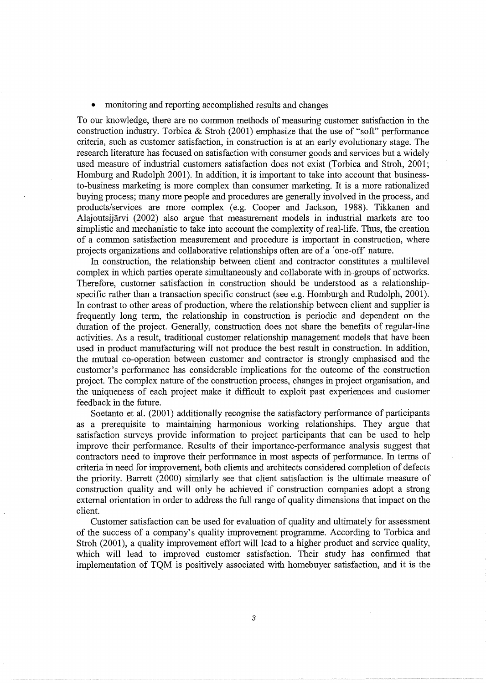• monitoring and reporting accomplished results and changes

To our knowledge, there are no common methods of measuring customer satisfaction in the construction industry. Torbica & Stroh (2001) emphasize that the use of "soft" performance criteria, such as customer satisfaction, in construction is at an early evolutionary stage. The research literature has focused on satisfaction with consumer goods and services but a widely used measure of industrial customers satisfaction does not exist (Torbica and Stroh, 2001; Homburg and Rudolph 2001). In addition, it is important to take into account that businessto-business marketing is more complex than consumer marketing. It is a more rationalized buying process; many more people and procedures are generally involved in the process, and products/services are more complex (e.g. Cooper and Jackson, 1988). Tikkanen and Alajoutsijarvi (2002) also argue that measurement models in industrial markets are too simplistic and mechanistic to take into account the complexity of real-life. Thus, the creation of a common satisfaction measurement and procedure is important in construction, where projects organizations and collaborative relationships often are of a 'one-off' nature.

In construction, the relationship between client and contractor constitutes a multilevel complex in which parties operate simultaneously and collaborate with in-groups of networks. Therefore, customer satisfaction in construction should be understood as a relationshipspecific rather than a transaction specific construct (see e.g. Homburgh and Rudolph, 2001). In contrast to other areas of production, where the relationship between client and supplier is frequently long term, the relationship in construction is periodic and dependent on the duration of the project. Generally, construction does not share the benefits of regular-line activities. As a result, traditional customer relationship management models that have been used in product manufacturing will not produce the best result in construction. In addition, the mutual co-operation between customer and contractor is strongly emphasised and the customer's performance has considerable implications for the outcome of the construction project. The complex nature of the construction process, changes in project organisation, and the uniqueness of each project make it difficult to exploit past experiences and customer feedback in the future.

Soetanto et al. (2001) additionally recognise the satisfactory performance of participants as a prerequisite to maintaining harmonious working relationships. They argue that satisfaction surveys provide information to project participants that can be used to help improve their performance. Results of their importance-performance analysis suggest that contractors need to improve their performance in most aspects of performance. In terms of criteria in need for improvement, both clients and architects considered completion of defects the priority. Barrett (2000) similarly see that client satisfaction is the ultimate measure of construction quality and will only be achieved if construction companies adopt a strong external orientation in order to address the full range of quality dimensions that impact on the client.

Customer satisfaction can be used for evaluation of quality and ultimately for assessment of the success of a company's quality improvement programme. According to Torbica and Stroh (2001), a quality improvement effort will lead to a higher product and service quality, which will lead to improved customer satisfaction. Their study has confirmed that implementation of TQM is positively associated with homebuyer satisfaction, and it is the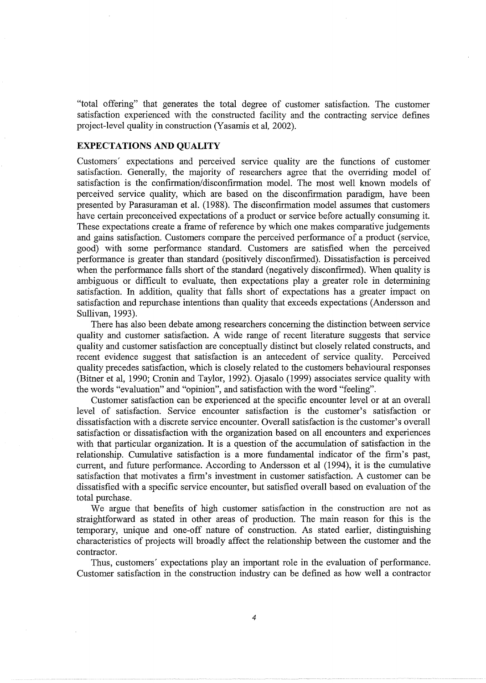"total offering" that generates the total degree of customer satisfaction. The customer satisfaction experienced with the constructed facility and the contracting service defines project-level quality in construction (Yasamis et al, 2002).

# **EXPECTATIONS AND QUALITY**

Customers' expectations and perceived service quality are the functions of customer satisfaction. Generally, the majority of researchers agree that the overriding model of satisfaction is the confirmation/disconfirmation model. The most well known models of perceived service quality, which are based on the disconfirmation paradigm, have been presented by Parasuraman et al. (1988). The disconfirmation model assumes that customers have certain preconceived expectations of a product or service before actually consuming it. These expectations create a frame of reference by which one makes comparative judgements and gains satisfaction. Customers compare the perceived performance of a product (service, good) with some performance standard. Customers are satisfied when the perceived performance is greater than standard (positively disconfirmed). Dissatisfaction is perceived when the performance falls short of the standard (negatively disconfirmed). When quality is ambiguous or difficult to evaluate, then expectations play a greater role in determining satisfaction. In addition, quality that falls short of expectations has a greater impact on satisfaction and repurchase intentions than quality that exceeds expectations (Andersson and Sullivan, 1993).

There has also been debate among researchers concerning the distinction between service quality and customer satisfaction. A wide range of recent literature suggests that service quality and customer satisfaction are conceptually distinct but closely related constructs, and recent evidence suggest that satisfaction is an antecedent of service quality. Perceived quality precedes satisfaction, which is closely related to the customers behavioural responses (Bitner et al, 1990; Cronin and Taylor, 1992). Ojasalo (1999) associates service quality with the words "evaluation" and "opinion", and satisfaction with the word "feeling".

Customer satisfaction can be experienced at the specific encounter level or at an overall level of satisfaction. Service encounter satisfaction is the customer's satisfaction or dissatisfaction with a discrete service encounter. Overall satisfaction is the customer's overall satisfaction or dissatisfaction with the organization based on all encounters and experiences with that particular organization. It is a question of the accumulation of satisfaction in the relationship. Cumulative satisfaction is a more fundamental indicator of the firm's past, current, and future performance. According to Andersson et al (1994), it is the cumulative satisfaction that motivates a firm's investment in customer satisfaction. A customer can be dissatisfied with a specific service encounter, but satisfied overall based on evaluation of the total purchase.

We argue that benefits of high customer satisfaction in the construction are not as straightforward as stated in other areas of production. The main reason for this is the temporary, unique and one-off nature of construction. As stated earlier, distinguishing characteristics of projects will broadly affect the relationship between the customer and the contractor.

Thus, customers' expectations play an important role in the evaluation of performance. Customer satisfaction in the construction industry can be defined as how well a contractor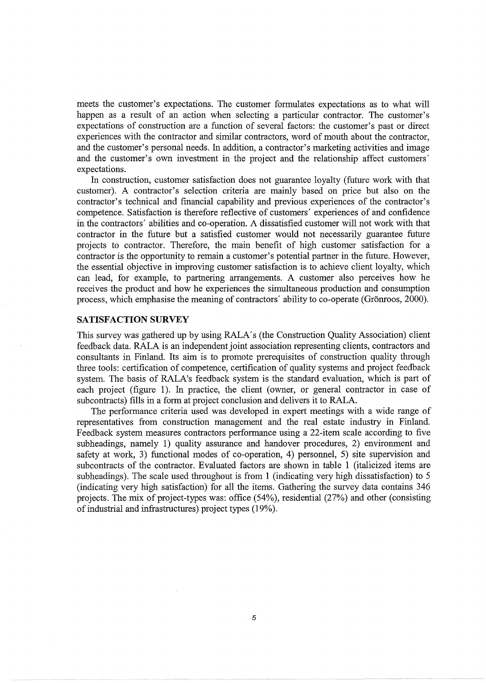meets the customer's expectations. The customer formulates expectations as to what will happen as a result of an action when selecting a particular contractor. The customer's expectations of construction are a function of several factors: the customer's past or direct experiences with the contractor and similar contractors, word of mouth about the contractor, and the customer's personal needs. In addition, a contractor's marketing activities and image and the customer's own investment in the project and the relationship affect customers' expectations.

In construction, customer satisfaction does not guarantee loyalty (future work with that customer). A contractor's selection criteria are mainly based on price but also on the contractor's technical and financial capability and previous experiences of the contractor's competence. Satisfaction is therefore reflective of customers' experiences of and confidence in the contractors' abilities and co-operation. A dissatisfied customer will not work with that contractor in the future but a satisfied customer would not necessarily guarantee future projects to contractor. Therefore, the main benefit of high customer satisfaction for a contractor is the opportunity to remain a customer's potential partner in the future. However, the essential objective in improving customer satisfaction is to achieve client loyalty, which can lead, for example, to partnering arrangements. A customer also perceives how he receives the product and how he experiences the simultaneous production and consumption process, which emphasise the meaning of contractors' ability to co-operate (Grönroos, 2000).

## **SATISFACTION SURVEY**

This survey was gathered up by using RALA's (the Construction Quality Association) client feedback data. RALA is an independent joint association representing clients, contractors and consultants in Finland. Its aim is to promote prerequisites of construction quality through three tools: certification of competence, certification of quality systems and project feedback system. The basis of RALA's feedback system is the standard evaluation, which is part of each project (figure 1). In practice, the client (owner, or general contractor in case of subcontracts) fills in a form at project conclusion and delivers it to RALA.

The performance criteria used was developed in expert meetings with a wide range of representatives from construction management and the real estate industry in Finland. Feedback system measures contractors performance using a 22-item scale according to five subheadings, namely 1) quality assurance and handover procedures, 2) environment and safety at work, 3) functional modes of co-operation, 4) personnel, 5) site supervision and subcontracts of the contractor. Evaluated factors are shown in table 1 (italicized items are subheadings). The scale used throughout is from 1 (indicating very high dissatisfaction) to 5 (indicating very high satisfaction) for all the items. Gathering the survey data contains 346 projects. The mix of project-types was: office (54%), residential (27%) and other (consisting of industrial and infrastructures) project types (19%).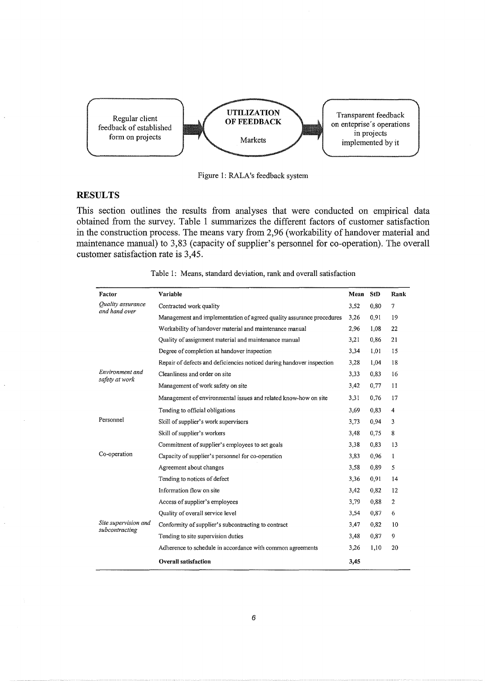

Figure 1: RALA's feedback system

## **RESULTS**

This section outlines the results from analyses that were conducted on empirical data obtained from the survey. Table 1 summarizes the different factors of customer satisfaction in the construction process. The means vary from 2,96 (workability of handover material and maintenance manual) to 3,83 (capacity of supplier's personnel for co-operation). The overall customer satisfaction rate is 3,45.

| Factor                                 | Variable                                                              | Mean | <b>StD</b> | Rank           |
|----------------------------------------|-----------------------------------------------------------------------|------|------------|----------------|
| Quality assurance<br>and hand over     | Contracted work quality                                               |      | 0,80       | 7              |
|                                        | Management and implementation of agreed quality assurance procedures  | 3,26 | 0.91       | 19             |
|                                        | Workability of handover material and maintenance manual<br>2,96       |      | 1,08       | 22             |
|                                        | Quality of assignment material and maintenance manual                 | 3,21 | 0.86       | 21             |
|                                        | Degree of completion at handover inspection                           | 3,34 | 1,01       | 15             |
|                                        | Repair of defects and deficiencies noticed during handover inspection | 3,28 | 1,04       | 18             |
| Environment and<br>safety at work      | Cleanliness and order on site                                         | 3,33 | 0,83       | 16             |
|                                        | Management of work safety on site                                     | 3,42 | 0,77       | 11             |
|                                        | Management of environmental issues and related know-how on site       | 3,31 | 0,76       | 17             |
|                                        | Tending to official obligations                                       | 3,69 | 0,83       | 4              |
| Personnel<br>Co-operation              | Skill of supplier's work supervisors                                  | 3,73 | 0,94       | 3              |
|                                        | Skill of supplier's workers                                           | 3,48 | 0,75       | 8              |
|                                        | Commitment of supplier's employees to set goals                       | 3,38 | 0.83       | 13             |
|                                        | Capacity of supplier's personnel for co-operation                     | 3,83 | 0,96       | 1              |
|                                        | Agreement about changes                                               | 3,58 | 0,89       | 5              |
|                                        | Tending to notices of defect                                          | 3,36 | 0,91       | 14             |
|                                        | Information flow on site                                              | 3,42 | 0,82       | 12             |
|                                        | Access of supplier's employees                                        | 3,79 | 0,88       | $\overline{c}$ |
|                                        | Quality of overall service level                                      | 3,54 | 0,87       | 6              |
| Site supervision and<br>subcontracting | Conformity of supplier's subcontracting to contract                   | 3,47 | 0,82       | 10             |
|                                        | Tending to site supervision duties                                    | 3,48 | 0,87       | 9              |
|                                        | Adherence to schedule in accordance with common agreements            | 3,26 | 1,10       | 20             |
|                                        | <b>Overall satisfaction</b>                                           | 3,45 |            |                |

Table 1: Means, standard deviation, rank and overall satisfaction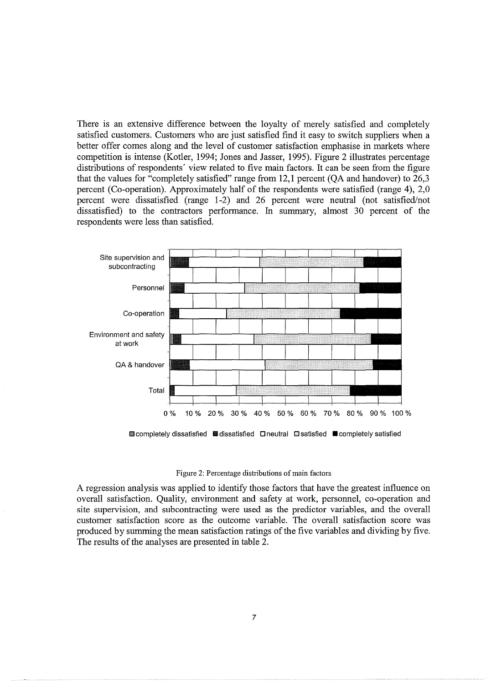There is an extensive difference between the loyalty of merely satisfied and completely satisfied customers. Customers who are just satisfied fmd it easy to switch suppliers when a better offer comes along and the level of customer satisfaction emphasise in markets where competition is intense (Kotler, 1994; Jones and Jasser, 1995). Figure 2 illustrates percentage distributions of respondents' view related to five main factors. It can be seen from the figure that the values for "completely satisfied" range from 12,1 percent (QA and handover) to 26,3 percent (Co-operation). Approximately half of the respondents were satisfied (range 4), 2,0 percent were dissatisfied (range 1-2) and 26 percent were neutral (not satisfied/not dissatisfied) to the contractors performance. In summary, almost 30 percent of the respondents were less than satisfied.





A regression analysis was applied to identify those factors that have the greatest influence on overall satisfaction. Quality, environment and safety at work, personnel, co-operation and site supervision, and subcontracting were used as the predictor variables, and the overall customer satisfaction score as the outcome variable. The overall satisfaction score was produced by summing the mean satisfaction ratings of the five variables and dividing by five. The results of the analyses are presented in table 2.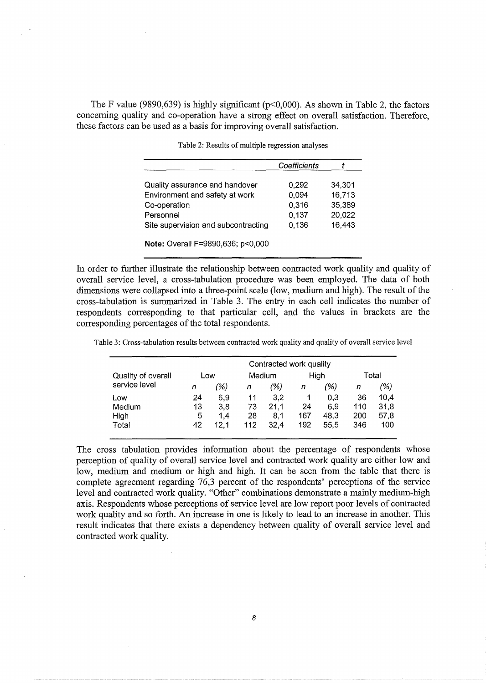The F value (9890,639) is highly significant ( $p<0,000$ ). As shown in Table 2, the factors concerning quality and co-operation have a strong effect on overall satisfaction. Therefore, these factors can be used as a basis for improving overall satisfaction.

|                                     | Coefficients |        |
|-------------------------------------|--------------|--------|
| Quality assurance and handover      | 0,292        | 34,301 |
| Environment and safety at work      | 0.094        | 16,713 |
| Co-operation                        | 0,316        | 35,389 |
| Personnel                           | 0,137        | 20,022 |
| Site supervision and subcontracting | 0,136        | 16,443 |

Table 2: Results of multiple regression analyses

**Note:** Overall F=9890,636; p<O,OOO

In order to further illustrate the relationship between contracted work quality and quality of overall service level, a cross-tabulation procedure was been employed. The data of both dimensions were collapsed into a three-point scale (low, medium and high). The result of the cross-tabulation is summarized in Table 3. The entry in each cell indicates the number of respondents corresponding to that particular cell, and the values in brackets are the corresponding percentages of the total respondents.

Table 3: Cross-tabulation results between contracted work quality and quality of overall service level

|                    | Contracted work quality |      |        |      |      |      |       |      |
|--------------------|-------------------------|------|--------|------|------|------|-------|------|
| Quality of overall | Low                     |      | Medium |      | High |      | Total |      |
| service level      | n                       | (%)  | n      | (%)  | n    | (%)  | n     | (%)  |
| Low                | 24                      | 6,9  | 11     | 3,2  |      | 0,3  | 36    | 10,4 |
| Medium             | 13                      | 3.8  | 73     | 21.1 | 24   | 6.9  | 110   | 31,8 |
| High               | 5                       | 1.4  | 28     | 8.1  | 167  | 48.3 | 200   | 57,8 |
| Total              | 42                      | 12.1 | 112    | 32.4 | 192  | 55.5 | 346   | 100  |

The cross tabulation provides information about the percentage of respondents whose perception of quality of overall service level and contracted work quality are either low and low, medium and medium or high and high. It can be seen from the table that there is complete agreement regarding 76,3 percent of the respondents' perceptions of the service level and contracted work quality. "Other" combinations demonstrate a mainly medium-high axis. Respondents whose perceptions of service level are low report poor levels of contracted work quality and so forth. An increase in one is likely to lead to an increase in another. This result indicates that there exists a dependency between quality of overall service level and contracted work quality.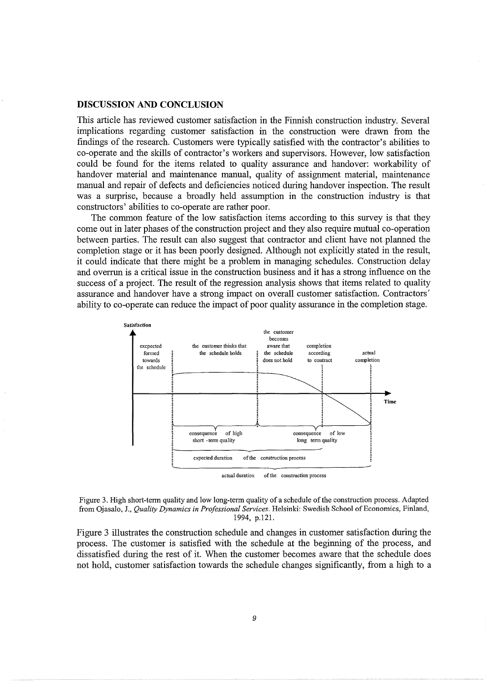#### **DISCUSSION AND CONCLUSION**

This article has reviewed customer satisfaction in the Finnish construction industry. Several implications regarding customer satisfaction in the construction were drawn from the findings of the research. Customers were typically satisfied with the contractor's abilities to co-operate and the skills of contractor's workers and supervisors. However, low satisfaction could be found for the items related to quality assurance and handover: workability of handover material and maintenance manual, quality of assignment material, maintenance manual and repair of defects and deficiencies noticed during handover inspection. The result was a surprise, because a broadly held assumption in the construction industry is that constructors' abilities to co-operate are rather poor.

The common feature of the low satisfaction items according to this survey is that they come out in later phases of the construction project and they also require mutual co-operation between parties. The result can also suggest that contractor and client have not planned the completion stage or it has been poorly designed. Although not explicitly stated in the result, it could indicate that there might be a problem in managing schedules. Construction delay and overrun is a critical issue in the construction business and it has a strong influence on the success of a project. The result of the regression analysis shows that items related to quality assurance and handover have a strong impact on overall customer satisfaction. Contractors' ability to co-operate can reduce the impact of poor quality assurance in the completion stage.





Figure 3 illustrates the construction schedule and changes in customer satisfaction during the process. The customer is satisfied with the schedule at the beginning of the process, and dissatisfied during the rest of it. When the customer becomes aware that the schedule does not hold, customer satisfaction towards the schedule changes significantly, from a high to a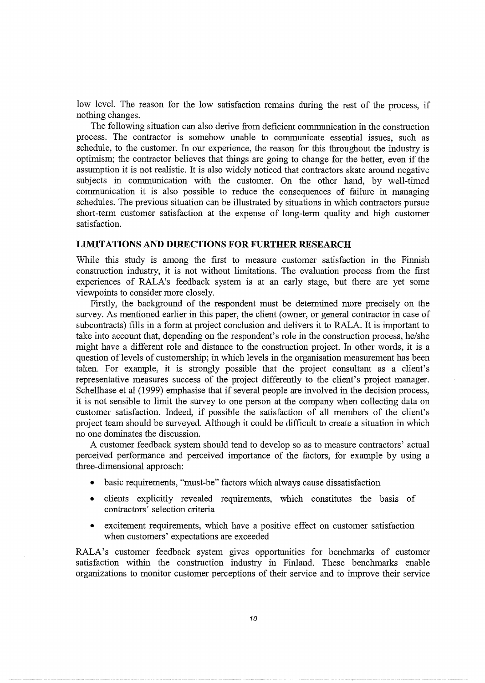low level. The reason for the low satisfaction remains during the rest of the process, if nothing changes.

The following situation can also derive from deficient communication in the construction process. The contractor is somehow unable to communicate essential issues, such as schedule, to the customer. In our experience, the reason for this throughout the industry is optimism; the contractor believes that things are going to change for the better, even if the assumption it is not realistic. It is also widely noticed that contractors skate around negative subjects in communication with the customer. On the other hand, by well-timed communication it is also possible to reduce the consequences of failure in managing schedules. The previous situation can be illustrated by situations in which contractors pursue short-term customer satisfaction at the expense of long-term quality and high customer satisfaction.

#### **LIMITATIONS AND DIRECTIONS FOR FURTHER RESEARCH**

While this study is among the first to measure customer satisfaction in the Finnish construction industry, it is not without limitations. The evaluation process from the first experiences of RALA's feedback system is at an early stage, but there are yet some viewpoints to consider more closely.

Firstly, the background of the respondent must be determined more precisely on the survey. As mentioned earlier in this paper, the client (owner, or general contractor in case of subcontracts) fills in a form at project conclusion and delivers it to RALA. It is important to take into account that, depending on the respondent's role in the construction process, he/she might have a different role and distance to the construction project. In other words, it is a question of levels of customership; in which levels in the organisation measurement has been taken. For example, it is strongly possible that the project consultant as a client's representative measures success of the project differently to the client's project manager. Schellhase et al (1999) emphasise that if several people are involved in the decision process, it is not sensible to limit the survey to one person at the company when collecting data on customer satisfaction. Indeed, if possible the satisfaction of all members of the client's project team should be surveyed. Although it could be difficult to create a situation in which no one dominates the discussion.

A customer feedback system should tend to develop so as to measure contractors' actual perceived performance and perceived importance of the factors, for example by using a three-dimensional approach:

- basic requirements, "must-be" factors which always cause dissatisfaction
- clients explicitly revealed requirements, which constitutes the basis of contractors' selection criteria
- excitement requirements, which have a positive effect on customer satisfaction when customers' expectations are exceeded

RALA's customer feedback system gives opportunities for benchmarks of customer satisfaction within the construction industry in Finland. These benchmarks enable organizations to monitor customer perceptions of their service and to improve their service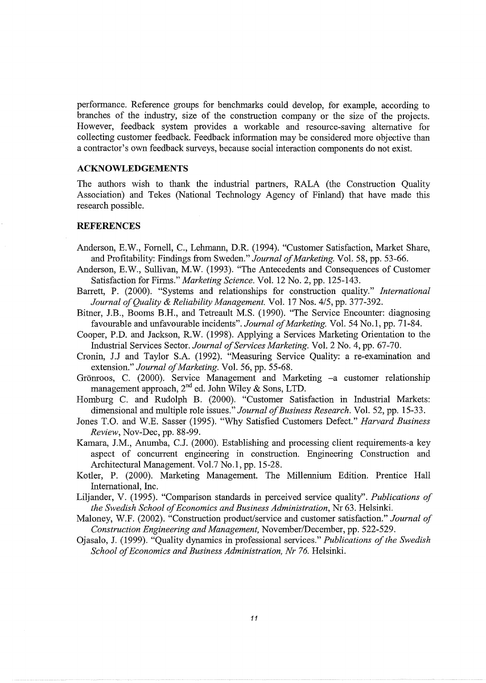performance. Reference groups for benchmarks could develop, for example, according to branches of the industry, size of the construction company or the size of the projects. However, feedback system provides a workable and resource-saving alternative for collecting customer feedback. Feedback information may be considered more objective than a contractor's own feedback surveys, because social interaction components do not exist.

#### **ACKNOWLEDGEMENTS**

The authors wish to thank the industrial partners, RALA (the Construction Quality Association) and Tekes (National Technology Agency of Finland) that have made this research possible.

#### **REFERENCES**

- Anderson, E.W., Fornell, C., Lehmann, D.R. (1994). "Customer Satisfaction, Market Share, and Profitability: Findings from Sweden." *Journal of Marketing.* Vol. 58, pp. 53-66.
- Anderson, E.W., Sullivan, M.W. (1993). "The Antecedents and Consequences of Customer Satisfaction for Firms." *Marketing Science.* Vol. 12 No.2, pp. 125-143.
- Barrett, P. (2000). "Systems and relationships for construction quality." *International Journal of Quality* & *Reliability Management.* Vol. 17 Nos. 4/5, pp. 377-392.
- Bitner, J.B., Booms B.H., and Tetreault M.S. (1990). "The Service Encounter: diagnosing favourable and unfavourable incidents". *Journal of Marketing.* Vol. 54 No.1, pp. 71-84.
- Cooper, P.D. and Jackson, R.W. (1998). Applying a Services Marketing Orientation to the Industrial Services Sector. *Journal of Services Marketing.* Vol. 2 No.4, pp. 67-70.
- Cronin, J.J and Taylor S.A. (1992). "Measuring Service Quality: a re-examination and extension." *Journal of Marketing.* Vol. 56, pp. 55-68.
- Grönroos, C. (2000). Service Management and Marketing -a customer relationship management approach,  $2^{nd}$  ed. John Wiley & Sons, LTD.
- Homburg C. and Rudolph B. (2000). "Customer Satisfaction in Industrial Markets: dimensional and multiple role issues." *Journal of Business Research.* Vol. 52, pp. 15-33.
- Jones T.O. and W.E. Sasser (1995). "Why Satisfied Customers Defect." *Harvard Business Review,* Nov-Dec, pp. 88-99.
- Kamara, J.M., Anumba, C.J. (2000). Establishing and processing client requirements-a key aspect of concurrent engineering in construction. Engineering Construction and Architectural Management. Vol.7 No.1, pp. 15-28.
- Kotler, P. (2000). Marketing Management. The Millennium Edition. Prentice Hall International, Inc.
- Liljander, V. (1995). "Comparison standards in perceived service quality". *Publications of the Swedish School of Economics and Business Administration,* Nr 63. Helsinki.
- Maloney, W.F. (2002). "Construction product/service and customer satisfaction." *Journal of Construction Engineering and Management,* November/December, pp. 522-529.
- Ojasalo, J. (1999). "Quality dynamics in professional services." *Publications of the Swedish School of Economics and Business Administration, Nr 76. Helsinki.*